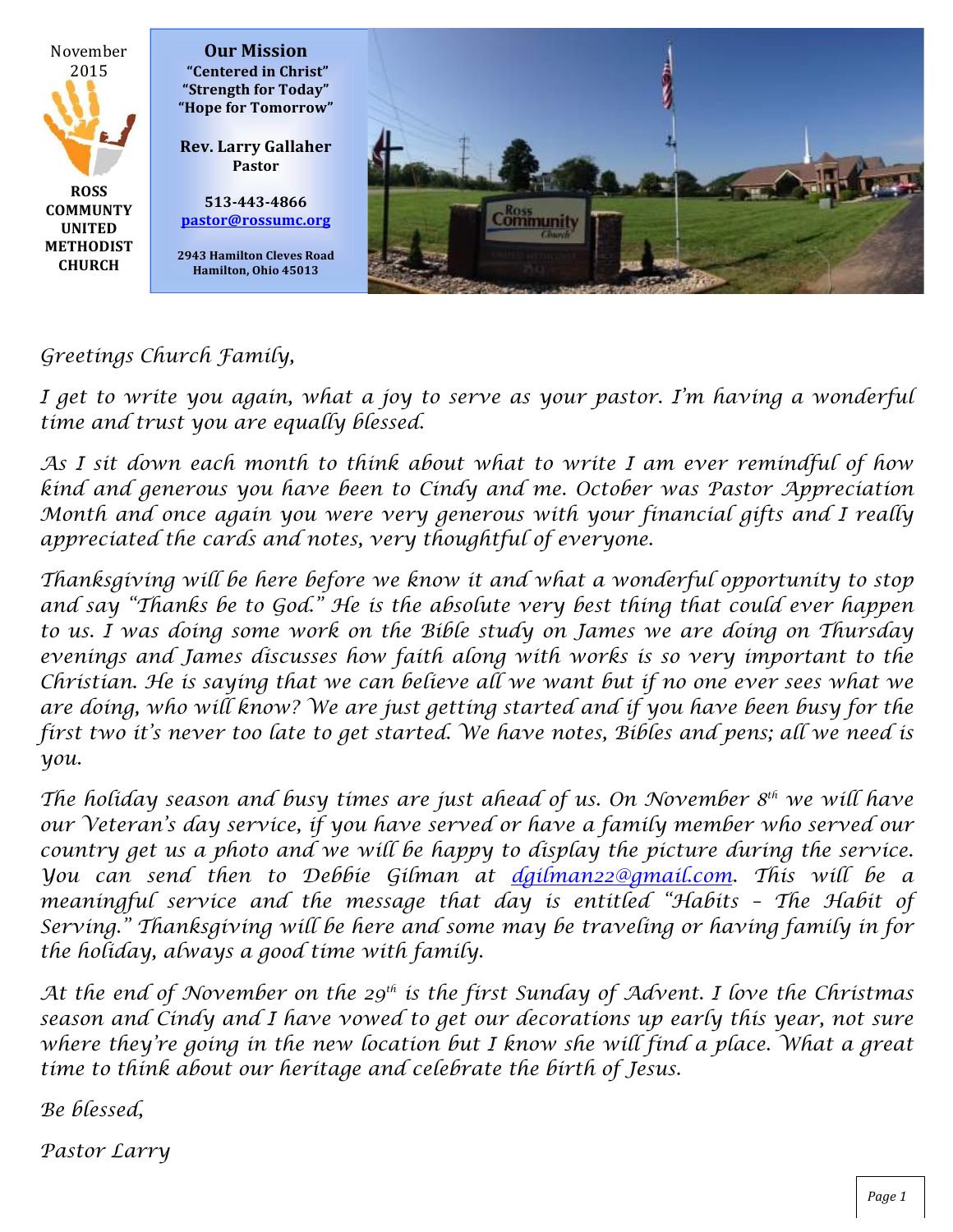

### *Greetings Church Family,*

*I get to write you again, what a joy to serve as your pastor. I'm having a wonderful time and trust you are equally blessed.*

*As I sit down each month to think about what to write I am ever remindful of how kind and generous you have been to Cindy and me. October was Pastor Appreciation Month and once again you were very generous with your financial gifts and I really appreciated the cards and notes, very thoughtful of everyone.*

*Thanksgiving will be here before we know it and what a wonderful opportunity to stop and say "Thanks be to God." He is the absolute very best thing that could ever happen to us. I was doing some work on the Bible study on James we are doing on Thursday evenings and James discusses how faith along with works is so very important to the Christian. He is saying that we can believe all we want but if no one ever sees what we are doing, who will know? We are just getting started and if you have been busy for the first two it's never too late to get started. We have notes, Bibles and pens; all we need is you.*

*The holiday season and busy times are just ahead of us. On November 8th we will have our Veteran's day service, if you have served or have a family member who served our country get us a photo and we will be happy to display the picture during the service. You can send then to Debbie Gilman at dgilman22@gmail.com. This will be a*  meaningful service and the message that day is entitled "Habits - The Habit of *Serving." Thanksgiving will be here and some may be traveling or having family in for the holiday, always a good time with family.*

*At the end of November on the 29th is the first Sunday of Advent. I love the Christmas season and Cindy and I have vowed to get our decorations up early this year, not sure where they're going in the new location but I know she will find a place. What a great time to think about our heritage and celebrate the birth of Jesus.* 

*Be blessed,*

*Pastor Larry*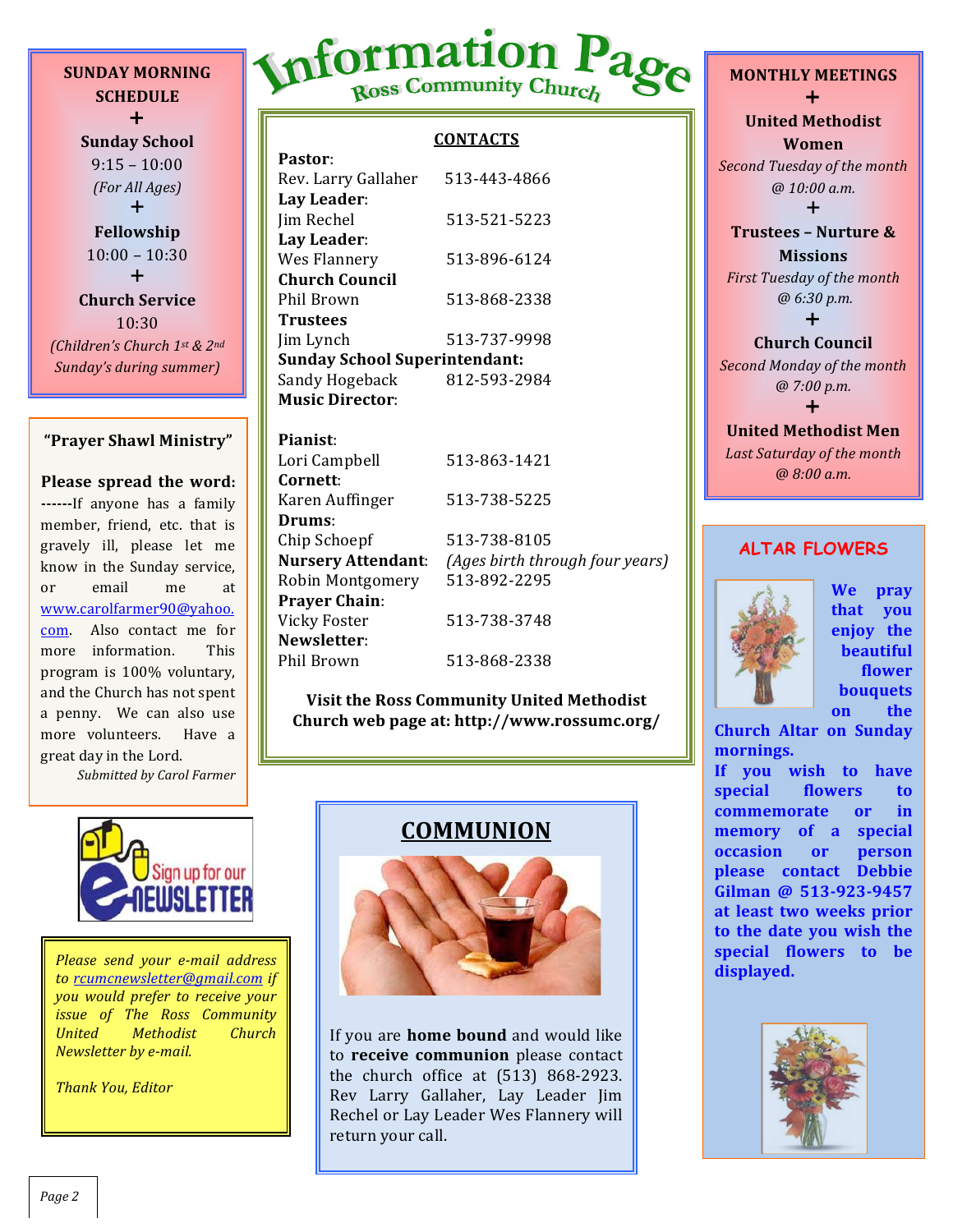**SUNDAY MORNING SCHEDULE**  $+$ 

**Sunday School**  $9:15 - 10:00$ *(For All Ages)*  $+$ **Fellowship**  $10:00 - 10:30$  $+$ **Church Service** 10:30 *(Children's Church 1st & 2nd Sunday's during summer)*

#### **"Prayer Shawl Ministry"**

**Please spread the word: ------**If anyone has a family member, friend, etc. that is gravely ill, please let me know in the Sunday service, or email me at www.carolfarmer90@yahoo. com. Also contact me for more information. This program is 100% voluntary. and the Church has not spent a penny. We can also use more volunteers. Have a great day in the Lord.

*Submitted by Carol Farmer*

# Information Page

### **CONTACTS**

| Pastor:                              |              |  |
|--------------------------------------|--------------|--|
| Rev. Larry Gallaher                  | 513-443-4866 |  |
| Lay Leader:                          |              |  |
| Jim Rechel                           | 513-521-5223 |  |
| Lay Leader:                          |              |  |
| Wes Flannery                         | 513-896-6124 |  |
| <b>Church Council</b>                |              |  |
| Phil Brown                           | 513-868-2338 |  |
| Trustees                             |              |  |
| Jim Lynch                            | 513-737-9998 |  |
| <b>Sunday School Superintendant:</b> |              |  |
| Sandy Hogeback                       | 812-593-2984 |  |
| <b>Music Director:</b>               |              |  |

**Pianist**: Lori Campbell 513-863-1421 **Cornett**: Karen Auffinger 513-738-5225 **Drums**: Chip Schoepf 513-738-8105 **Nursery Attendant**: *(Ages birth through four years)* Robin Montgomery 513-892-2295 **Prayer Chain**: Vicky Foster 513-738-3748 **Newsletter**: Phil Brown 513-868-2338

**Visit the Ross Community United Methodist Church web page at: http://www.rossumc.org/**



to rcumcnewsletter@gmail.com if *you would prefer to receive your issue of The Ross Community United Methodist Church Newsletter by e-mail.* 

*Thank You, Editor*

## **COMMUNION**



If you are **home bound** and would like to **receive communion** please contact the church office at  $(513)$  868-2923. Rev Larry Gallaher, Lay Leader Jim Rechel or Lay Leader Wes Flannery will return your call.

**MONTHLY MEETINGS**  $\ddagger$ **United Methodist Women Second Tuesday of the month** *@ 10:00 a.m.*  $\ddagger$ **Trustees - Nurture & Missions** *First Tuesday of the month @ 6:30 p.m.*  $\ddagger$ **Church Council**

**Second Monday of the month** *@ 7:00 p.m.*  $\ddag$ 

### **United Methodist Men** Last Saturday of the month *@ 8:00 a.m.*

### **ALTAR FLOWERS**



**We pray that you enjoy** the **beautiful flower bouquets on** the

**Church Altar on Sunday mornings.**

If you wish to have special flowers to **commemorate** or in **memory** of a special **occasion** or **person please contact Debbie**  Gilman @ 513-923-9457 at least two weeks prior to the date you wish the **special flowers to be** 

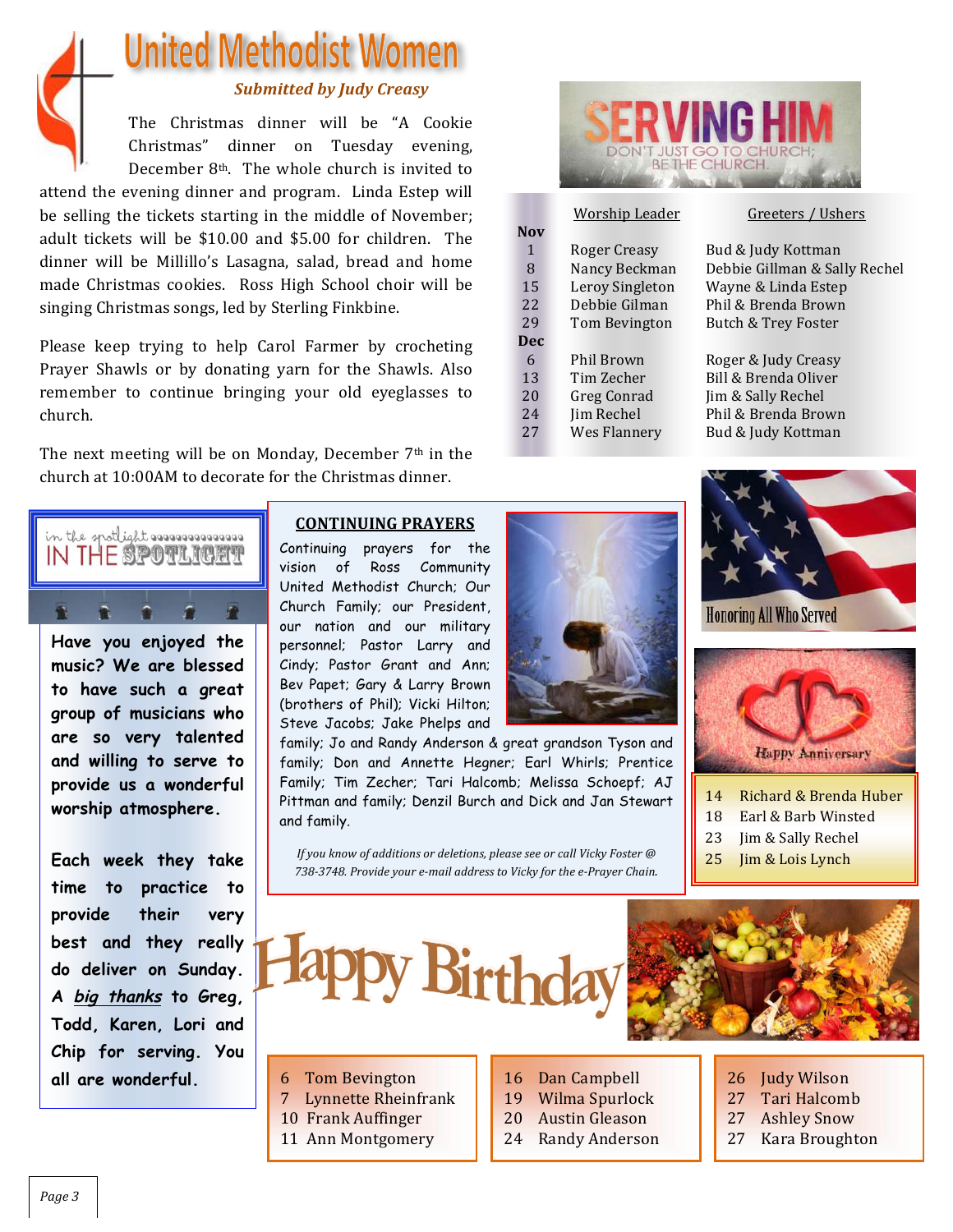

# **United Methodist Women**

### **Submitted by Judy Creasy**

The Christmas dinner will be "A Cookie Christmas" dinner on Tuesday evening, December  $8<sup>th</sup>$ . The whole church is invited to

attend the evening dinner and program. Linda Estep will be selling the tickets starting in the middle of November; adult tickets will be \$10.00 and \$5.00 for children. The dinner will be Millillo's Lasagna, salad, bread and home made Christmas cookies. Ross High School choir will be singing Christmas songs, led by Sterling Finkbine.

Please keep trying to help Carol Farmer by crocheting Prayer Shawls or by donating varn for the Shawls. Also remember to continue bringing your old eyeglasses to church. 

The next meeting will be on Monday, December  $7<sup>th</sup>$  in the church at 10:00AM to decorate for the Christmas dinner.



**music? We are blessed to have such a great group of musicians who are so very talented and willing to serve to provide us a wonderful worship atmosphere.**

**Each week they take time to practice to provide their very best and they really do deliver on Sunday. A big thanks to Greg, Todd, Karen, Lori and Chip for serving. You all are wonderful.** 6 Tom Bevington

### **CONTINUING PRAYERS**

Continuing prayers for the vision of Ross Community United Methodist Church; Our Church Family; our President, our nation and our military personnel; Pastor Larry and Cindy; Pastor Grant and Ann; Bev Papet; Gary & Larry Brown (brothers of Phil); Vicki Hilton; Steve Jacobs; Jake Phelps and

family; Jo and Randy Anderson & great grandson Tyson and family; Don and Annette Hegner; Earl Whirls; Prentice Family; Tim Zecher; Tari Halcomb; Melissa Schoepf; AJ Pittman and family; Denzil Burch and Dick and Jan Stewart and family.

*If you know of additions or deletions, please see or call Vicky Foster* @ 738-3748. Provide your e-mail address to Vicky for the e-Prayer Chain.



|            | Worship Leader  | Greeters / Ushers              |
|------------|-----------------|--------------------------------|
| <b>Nov</b> |                 |                                |
| 1          | Roger Creasy    | Bud & Judy Kottman             |
| 8          | Nancy Beckman   | Debbie Gillman & Sally Rechel  |
| 15         | Leroy Singleton | Wayne & Linda Estep            |
| 22         | Debbie Gilman   | Phil & Brenda Brown            |
| 29         | Tom Bevington   | <b>Butch &amp; Trey Foster</b> |
| <b>Dec</b> |                 |                                |
| 6          | Phil Brown      | Roger & Judy Creasy            |
| 13         | Tim Zecher      | Bill & Brenda Oliver           |
| 20         | Greg Conrad     | Jim & Sally Rechel             |
| 24         | Jim Rechel      | Phil & Brenda Brown            |
| 27         | Wes Flannery    | Bud & Judy Kottman             |
|            |                 |                                |





**Honoring All Who Served** 



- 14 Richard & Brenda Huber
- 18 Earl & Barb Winsted
- 23 Jim & Sally Rechel
- $25$   $\lim \&$  Lois Lynch
- Py Birthday



- 
- 7 Lynnette Rheinfrank
- 10 Frank Auffinger
- 11 Ann Montgomery
- 16 Dan Campbell
- 19 Wilma Spurlock
- 20 Austin Gleason
- 24 Randy Anderson
- 26 Judy Wilson
- 27 Tari Halcomb
- 27 Ashley Snow
- 27 Kara Broughton